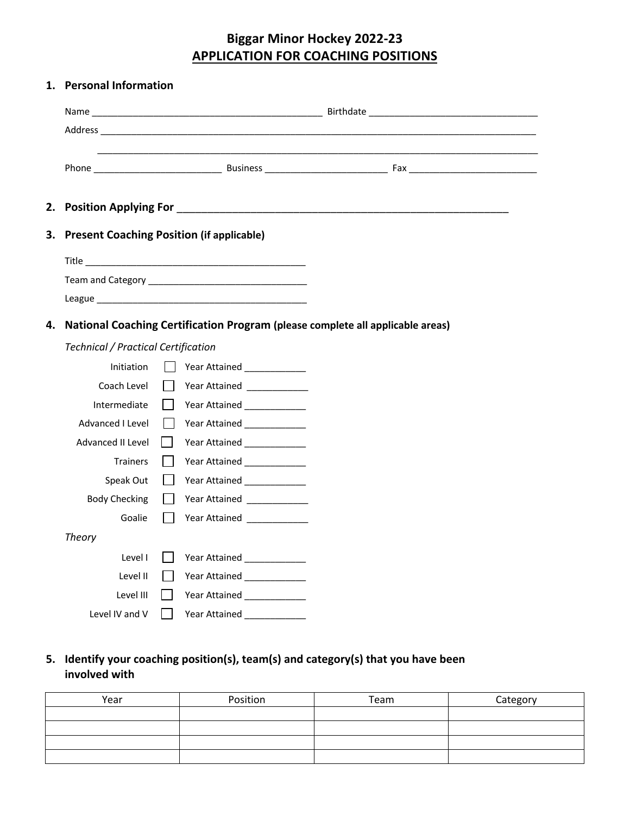# **Biggar Minor Hockey 2022-23 APPLICATION FOR COACHING POSITIONS**

## **1. Personal Information**

| 2. | <b>Position Applying For</b>               | <u> 1980 - Jan Stein Stein Stein Stein Stein Stein Stein Stein Stein Stein Stein Stein Stein Stein Stein Stein S</u>           |  |  |  |
|----|--------------------------------------------|--------------------------------------------------------------------------------------------------------------------------------|--|--|--|
| 3. |                                            | <b>Present Coaching Position (if applicable)</b>                                                                               |  |  |  |
|    |                                            |                                                                                                                                |  |  |  |
|    |                                            |                                                                                                                                |  |  |  |
|    |                                            |                                                                                                                                |  |  |  |
| 4. |                                            | National Coaching Certification Program (please complete all applicable areas)                                                 |  |  |  |
|    | <b>Technical / Practical Certification</b> |                                                                                                                                |  |  |  |
|    | Initiation                                 | Year Attained ______________                                                                                                   |  |  |  |
|    | Coach Level                                | Year Attained ______________                                                                                                   |  |  |  |
|    | Intermediate                               | $\mathbf{L}$<br>Year Attained Theory of the Theory of The Theory and Theory and Theory and Theory and Theory and Theory and Th |  |  |  |
|    | Advanced I Level                           | $\Box$<br>Year Attained ______________                                                                                         |  |  |  |
|    | Advanced II Level                          | $\mathbf{L}$<br>Year Attained ___________                                                                                      |  |  |  |
|    | Trainers                                   | $\mathbf{L}$<br>Year Attained _____________                                                                                    |  |  |  |
|    | Speak Out                                  | $\perp$<br>Year Attained ______________                                                                                        |  |  |  |
|    | <b>Body Checking</b>                       | Year Attained _____________<br>$\mathbf{I}$                                                                                    |  |  |  |
|    | Goalie                                     | $\mathsf{L}$<br>Year Attained _____________                                                                                    |  |  |  |
|    | <b>Theory</b>                              |                                                                                                                                |  |  |  |
|    | Level I                                    | Year Attained _______________                                                                                                  |  |  |  |
|    | Level II                                   | Year Attained _____________                                                                                                    |  |  |  |
|    | Level III                                  | $\mathbf{L}$<br>Year Attained _____________                                                                                    |  |  |  |
|    | Level IV and V                             | $\mathbf{I}$                                                                                                                   |  |  |  |
|    |                                            |                                                                                                                                |  |  |  |

# **5. Identify your coaching position(s), team(s) and category(s) that you have been involved with**

| Year | Position | Team | Category |
|------|----------|------|----------|
|      |          |      |          |
|      |          |      |          |
|      |          |      |          |
|      |          |      |          |